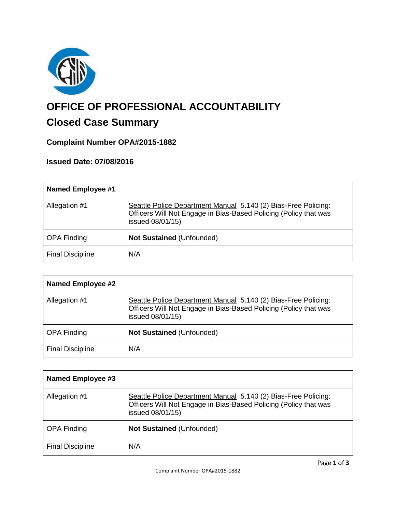

# **OFFICE OF PROFESSIONAL ACCOUNTABILITY**

# **Closed Case Summary**

# **Complaint Number OPA#2015-1882**

## **Issued Date: 07/08/2016**

| <b>Named Employee #1</b> |                                                                                                                                                        |
|--------------------------|--------------------------------------------------------------------------------------------------------------------------------------------------------|
| Allegation #1            | Seattle Police Department Manual 5.140 (2) Bias-Free Policing:<br>Officers Will Not Engage in Bias-Based Policing (Policy that was<br>issued 08/01/15) |
| <b>OPA Finding</b>       | <b>Not Sustained (Unfounded)</b>                                                                                                                       |
| <b>Final Discipline</b>  | N/A                                                                                                                                                    |

| <b>Named Employee #2</b> |                                                                                                                                                        |
|--------------------------|--------------------------------------------------------------------------------------------------------------------------------------------------------|
| Allegation #1            | Seattle Police Department Manual 5.140 (2) Bias-Free Policing:<br>Officers Will Not Engage in Bias-Based Policing (Policy that was<br>issued 08/01/15) |
| <b>OPA Finding</b>       | <b>Not Sustained (Unfounded)</b>                                                                                                                       |
| <b>Final Discipline</b>  | N/A                                                                                                                                                    |

| Named Employee #3       |                                                                                                                                                        |
|-------------------------|--------------------------------------------------------------------------------------------------------------------------------------------------------|
| Allegation #1           | Seattle Police Department Manual 5.140 (2) Bias-Free Policing:<br>Officers Will Not Engage in Bias-Based Policing (Policy that was<br>issued 08/01/15) |
| <b>OPA Finding</b>      | <b>Not Sustained (Unfounded)</b>                                                                                                                       |
| <b>Final Discipline</b> | N/A                                                                                                                                                    |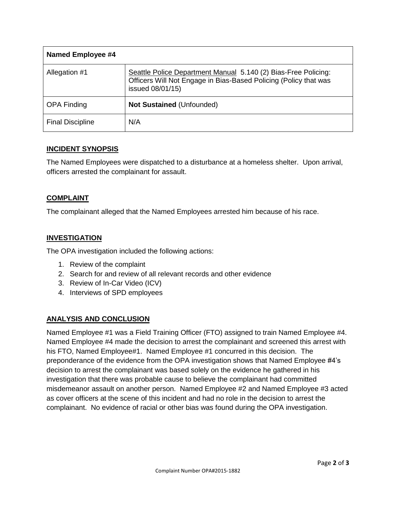| <b>Named Employee #4</b> |                                                                                                                                                        |
|--------------------------|--------------------------------------------------------------------------------------------------------------------------------------------------------|
| Allegation #1            | Seattle Police Department Manual 5.140 (2) Bias-Free Policing:<br>Officers Will Not Engage in Bias-Based Policing (Policy that was<br>issued 08/01/15) |
| <b>OPA Finding</b>       | <b>Not Sustained (Unfounded)</b>                                                                                                                       |
| <b>Final Discipline</b>  | N/A                                                                                                                                                    |

#### **INCIDENT SYNOPSIS**

The Named Employees were dispatched to a disturbance at a homeless shelter. Upon arrival, officers arrested the complainant for assault.

#### **COMPLAINT**

The complainant alleged that the Named Employees arrested him because of his race.

#### **INVESTIGATION**

The OPA investigation included the following actions:

- 1. Review of the complaint
- 2. Search for and review of all relevant records and other evidence
- 3. Review of In-Car Video (ICV)
- 4. Interviews of SPD employees

### **ANALYSIS AND CONCLUSION**

Named Employee #1 was a Field Training Officer (FTO) assigned to train Named Employee #4. Named Employee #4 made the decision to arrest the complainant and screened this arrest with his FTO, Named Employee#1. Named Employee #1 concurred in this decision. The preponderance of the evidence from the OPA investigation shows that Named Employee #4's decision to arrest the complainant was based solely on the evidence he gathered in his investigation that there was probable cause to believe the complainant had committed misdemeanor assault on another person. Named Employee #2 and Named Employee #3 acted as cover officers at the scene of this incident and had no role in the decision to arrest the complainant. No evidence of racial or other bias was found during the OPA investigation.